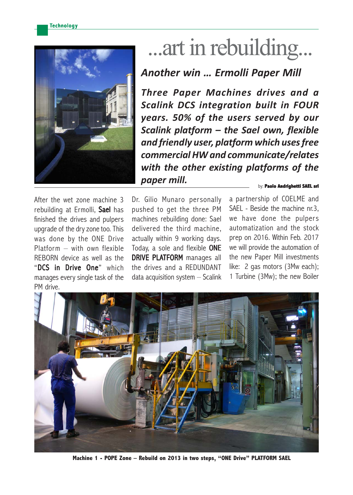

# ...art in rebuilding...

# *Another win … Ermolli Paper Mill*

*Three Paper Machines drives and a Scalink DCS integration built in FOUR years. 50% of the users served by our Scalink platform – the Sael own, flexible and friendly user, platform which uses free commercial HW and communicate/relates with the other existing platforms of the paper mill.*

After the wet zone machine 3 rebuilding at Ermolli, Sael has finished the drives and pulpers upgrade of the dry zone too. This was done by the ONE Drive Platform – with own flexible REBORN device as well as the "DCS in Drive One" which manages every single task of the PM drive.

Dr. Gilio Munaro personally pushed to get the three PM machines rebuilding done: Sael delivered the third machine, actually within 9 working days. Today, a sole and flexible ONE DRIVE PLATFORM manages all the drives and a REDUNDANT data acquisition system – Scalink

#### by: Paolo Andrighetti **SAEL srl**

a partnership of COELME and SAEL - Beside the machine nr.3, we have done the pulpers automatization and the stock prep on 2016. Within Feb. 2017 we will provide the automation of the new Paper Mill investments like: 2 gas motors (3Mw each); 1 Turbine (3Mw); the new Boiler



**Machine 1 - POPE Zone – Rebuild on 2013 in two steps, "ONE Drive" PLATFORM SAEL**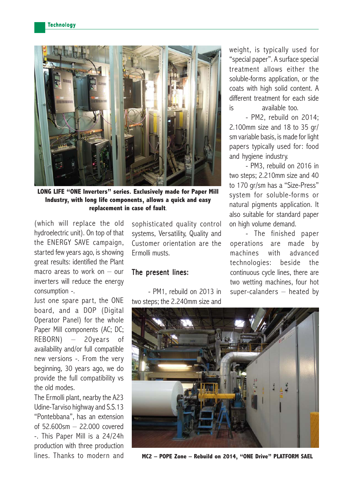

**LONG LIFE "ONE Inverters" series. Exclusively made for Paper Mill Industry, with long life components, allows a quick and easy replacement in case of fault**.

(which will replace the old hydroelectric unit). On top of that the ENERGY SAVE campaign, started few years ago, is showing great results: identified the Plant macro areas to work on  $-$  our inverters will reduce the energy consumption -.

Just one spare part, the ONE board, and a DOP (Digital Operator Panel) for the whole Paper Mill components (AC; DC; REBORN) – 20years of availability and/or full compatible new versions -. From the very beginning, 30 years ago, we do provide the full compatibility vs the old modes.

The Ermolli plant, nearby the A23 Udine-Tarviso highway and S.S.13 "Pontebbana", has an extension of 52.600sm – 22.000 covered -. This Paper Mill is a 24/24h production with three production lines. Thanks to modern and sophisticated quality control systems, Versatility, Quality and Customer orientation are the Ermolli musts.

#### The present lines:

- PM1, rebuild on 2013 in two steps; the 2.240mm size and weight, is typically used for "special paper". A surface special treatment allows either the soluble-forms application, or the coats with high solid content. A different treatment for each side is available too.

- PM2, rebuild on 2014; 2.100mm size and 18 to 35 gr/ sm variable basis, is made for light papers typically used for: food and hygiene industry.

- PM3, rebuild on 2016 in two steps; 2.210mm size and 40 to 170 gr/sm has a "Size-Press" system for soluble-forms or natural pigments application. It also suitable for standard paper on high volume demand.

- The finished paper operations are made by machines with advanced technologies: beside the continuous cycle lines, there are two wetting machines, four hot super-calanders – heated by



**MC2 – POPE Zone – Rebuild on 2014, "ONE Drive" PLATFORM SAEL**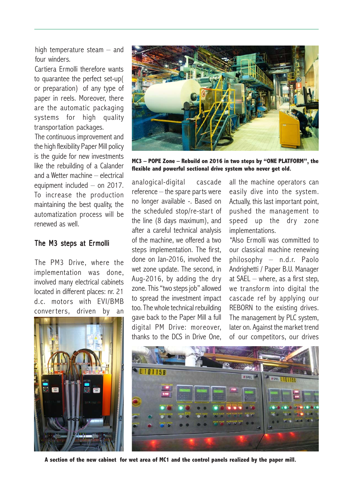high temperature steam – and four winders.

Cartiera Ermolli therefore wants to quarantee the perfect set-up( or preparation) of any type of paper in reels. Moreover, there are the automatic packaging systems for high quality transportation packages.

The continuous improvement and the high flexibility Paper Mill policy is the guide for new investments like the rebuilding of a Calander and a Wetter machine – electrical equipment included – on 2017. To increase the production maintaining the best quality, the automatization process will be renewed as well.

### The M3 steps at Ermolli

The PM3 Drive, where the implementation was done, involved many electrical cabinets located in different places: nr. 21 d.c. motors with EVI/BMB converters, driven by an





**MC3 – POPE Zone – Rebuild on 2016 in two steps by "ONE PLATFORM", the flexible and powerful sectional drive system who never get old.**

analogical-digital cascade reference – the spare parts were no longer available -. Based on the scheduled stop/re-start of the line (8 days maximum), and after a careful technical analysis of the machine, we offered a two steps implementation. The first, done on Jan-2016, involved the wet zone update. The second, in Aug-2016, by adding the dry zone. This "two steps job" allowed to spread the investment impact too. The whole technical rebuilding gave back to the Paper Mill a full digital PM Drive: moreover, thanks to the DCS in Drive One,

all the machine operators can easily dive into the system. Actually, this last important point, pushed the management to speed up the dry zone implementations.

"Also Ermolli was committed to our classical machine renewing philosophy – n.d.r. Paolo Andrighetti / Paper B.U. Manager at SAEL – where, as a first step, we transform into digital the cascade ref by applying our REBORN to the existing drives. The management by PLC system, later on. Against the market trend of our competitors, our drives



**A section of the new cabinet for wet area of MC1 and the control panels realized by the paper mill.**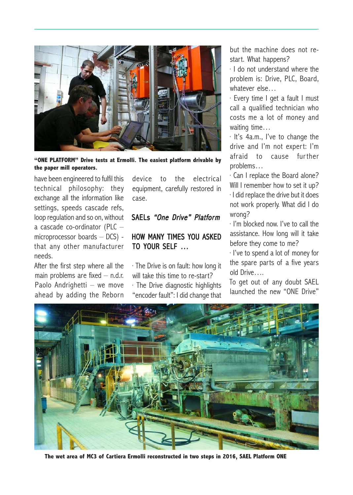

**"ONE PLATFORM" Drive tests at Ermolli. The easiest platform drivable by the paper mill operators.**

have been engineered to fulfil this technical philosophy: they exchange all the information like settings, speeds cascade refs, loop regulation and so on, without a cascade co-ordinator (PLC – microprocessor boards – DCS) that any other manufacturer needs.

After the first step where all the main problems are fixed – n.d.r. Paolo Andrighetti – we move ahead by adding the Reborn device to the electrical equipment, carefully restored in case.

## SAELs *"One Drive" Platform*

# HOW MANY TIMES YOU ASKED TO YOUR SELF …

· The Drive is on fault: how long it will take this time to re-start? · The Drive diagnostic highlights "encoder fault": I did change that

but the machine does not restart. What happens?

· I do not understand where the problem is: Drive, PLC, Board, whatever else…

· Every time I get a fault I must call a qualified technician who costs me a lot of money and waiting time…

· It's 4a.m., I've to change the drive and I'm not expert: I'm afraid to cause further problems…

· Can I replace the Board alone? Will I remember how to set it up? · I did replace the drive but it does not work properly. What did I do wrong?

· I'm blocked now. I've to call the assistance. How long will it take before they come to me?

· I've to spend a lot of money for the spare parts of a five years old Drive….

To get out of any doubt SAEL launched the new "ONE Drive"



**The wet area of MC3 of Cartiera Ermolli reconstructed in two steps in 2016, SAEL Platform ONE**